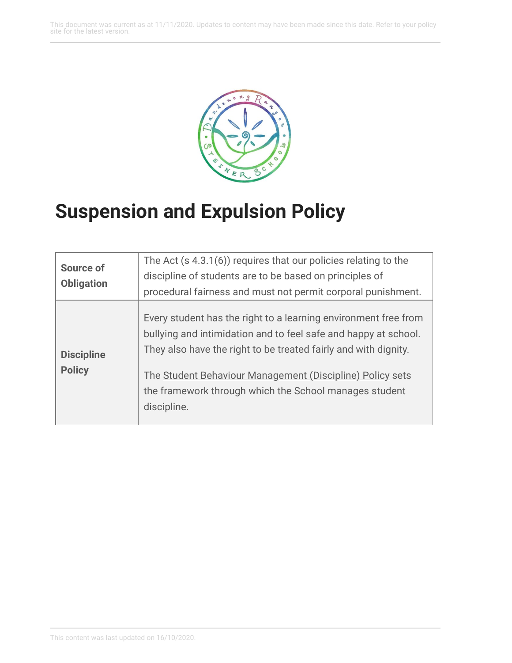This document was current as at 11/11/2020. Updates to content may have been made since this date. Refer to your policy site for the latest version.



## **Suspension and Expulsion Policy**

| <b>Source of</b><br><b>Obligation</b> | The Act (s 4.3.1(6)) requires that our policies relating to the<br>discipline of students are to be based on principles of<br>procedural fairness and must not permit corporal punishment.                                                                                                                                                  |
|---------------------------------------|---------------------------------------------------------------------------------------------------------------------------------------------------------------------------------------------------------------------------------------------------------------------------------------------------------------------------------------------|
| <b>Discipline</b><br><b>Policy</b>    | Every student has the right to a learning environment free from<br>bullying and intimidation and to feel safe and happy at school.<br>They also have the right to be treated fairly and with dignity.<br>The Student Behaviour Management (Discipline) Policy sets<br>the framework through which the School manages student<br>discipline. |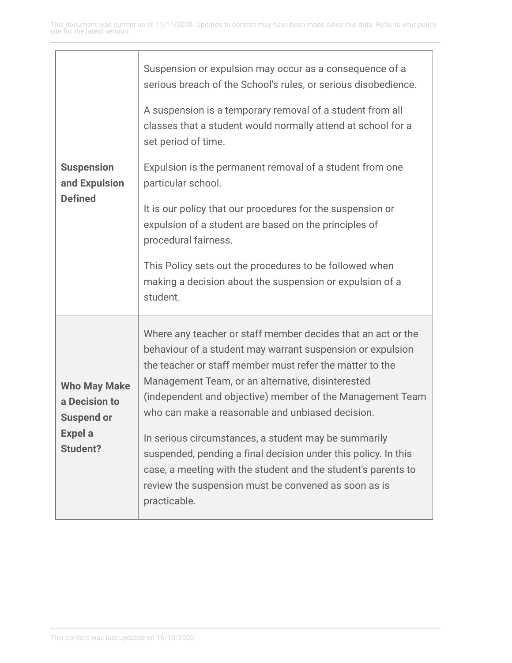| <b>Suspension</b><br>and Expulsion<br><b>Defined</b>                                           | Suspension or expulsion may occur as a consequence of a<br>serious breach of the School's rules, or serious disobedience.<br>A suspension is a temporary removal of a student from all<br>classes that a student would normally attend at school for a<br>set period of time.<br>Expulsion is the permanent removal of a student from one<br>particular school.<br>It is our policy that our procedures for the suspension or<br>expulsion of a student are based on the principles of                                                                                                                                          |
|------------------------------------------------------------------------------------------------|---------------------------------------------------------------------------------------------------------------------------------------------------------------------------------------------------------------------------------------------------------------------------------------------------------------------------------------------------------------------------------------------------------------------------------------------------------------------------------------------------------------------------------------------------------------------------------------------------------------------------------|
|                                                                                                | procedural fairness.<br>This Policy sets out the procedures to be followed when<br>making a decision about the suspension or expulsion of a<br>student.                                                                                                                                                                                                                                                                                                                                                                                                                                                                         |
| <b>Who May Make</b><br>a Decision to<br><b>Suspend or</b><br><b>Expel a</b><br><b>Student?</b> | Where any teacher or staff member decides that an act or the<br>behaviour of a student may warrant suspension or expulsion<br>the teacher or staff member must refer the matter to the<br>Management Team, or an alternative, disinterested<br>(independent and objective) member of the Management Team<br>who can make a reasonable and unbiased decision.<br>In serious circumstances, a student may be summarily<br>suspended, pending a final decision under this policy. In this<br>case, a meeting with the student and the student's parents to<br>review the suspension must be convened as soon as is<br>practicable. |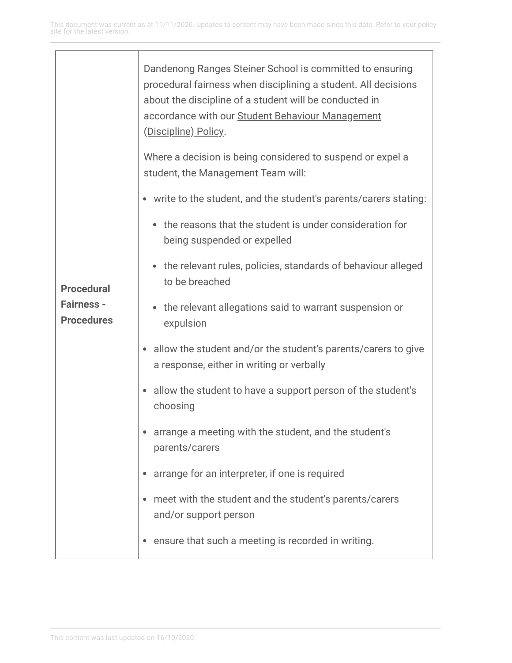| <b>Procedural</b><br><b>Fairness -</b><br><b>Procedures</b> | Dandenong Ranges Steiner School is committed to ensuring<br>procedural fairness when disciplining a student. All decisions<br>about the discipline of a student will be conducted in<br>accordance with our Student Behaviour Management<br>(Discipline) Policy. |
|-------------------------------------------------------------|------------------------------------------------------------------------------------------------------------------------------------------------------------------------------------------------------------------------------------------------------------------|
|                                                             | Where a decision is being considered to suspend or expel a<br>student, the Management Team will:                                                                                                                                                                 |
|                                                             | • write to the student, and the student's parents/carers stating:                                                                                                                                                                                                |
|                                                             | • the reasons that the student is under consideration for<br>being suspended or expelled                                                                                                                                                                         |
|                                                             | • the relevant rules, policies, standards of behaviour alleged<br>to be breached                                                                                                                                                                                 |
|                                                             | • the relevant allegations said to warrant suspension or<br>expulsion                                                                                                                                                                                            |
|                                                             | allow the student and/or the student's parents/carers to give<br>a response, either in writing or verbally                                                                                                                                                       |
|                                                             | allow the student to have a support person of the student's<br>٠<br>choosing                                                                                                                                                                                     |
|                                                             | arrange a meeting with the student, and the student's<br>parents/carers                                                                                                                                                                                          |
|                                                             | arrange for an interpreter, if one is required                                                                                                                                                                                                                   |
|                                                             | meet with the student and the student's parents/carers<br>and/or support person                                                                                                                                                                                  |
|                                                             | ensure that such a meeting is recorded in writing.                                                                                                                                                                                                               |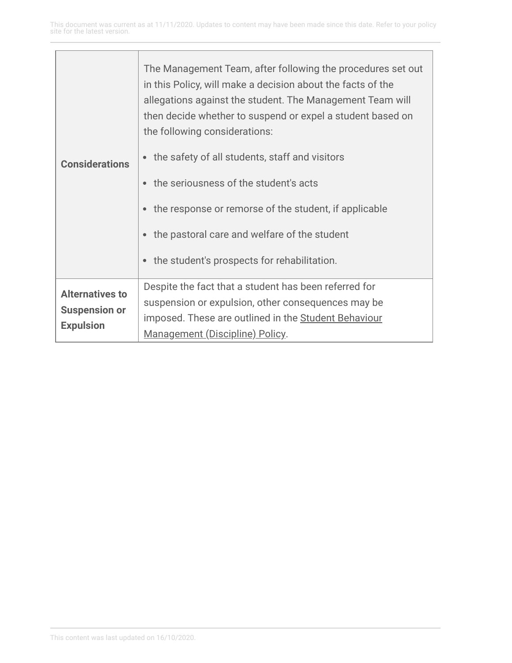| <b>Considerations</b>                                              | The Management Team, after following the procedures set out<br>in this Policy, will make a decision about the facts of the<br>allegations against the student. The Management Team will<br>then decide whether to suspend or expel a student based on<br>the following considerations:<br>the safety of all students, staff and visitors<br>the seriousness of the student's acts<br>the response or remorse of the student, if applicable<br>the pastoral care and welfare of the student<br>the student's prospects for rehabilitation.<br>$\bullet$ |
|--------------------------------------------------------------------|--------------------------------------------------------------------------------------------------------------------------------------------------------------------------------------------------------------------------------------------------------------------------------------------------------------------------------------------------------------------------------------------------------------------------------------------------------------------------------------------------------------------------------------------------------|
| <b>Alternatives to</b><br><b>Suspension or</b><br><b>Expulsion</b> | Despite the fact that a student has been referred for<br>suspension or expulsion, other consequences may be<br>imposed. These are outlined in the Student Behaviour<br>Management (Discipline) Policy.                                                                                                                                                                                                                                                                                                                                                 |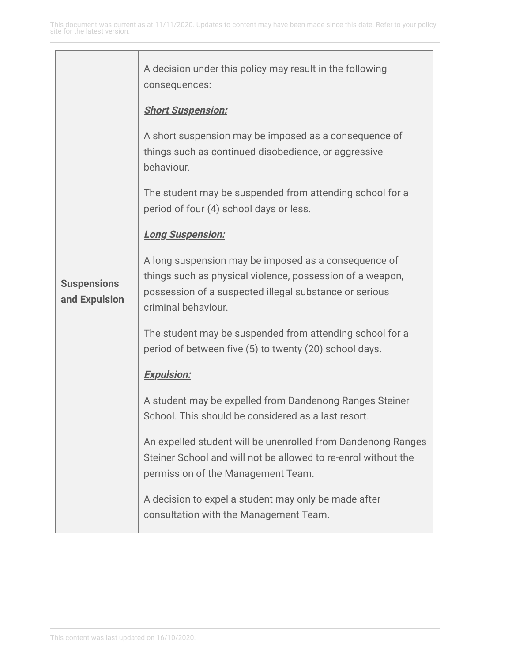| <b>Suspensions</b><br>and Expulsion | A decision under this policy may result in the following<br>consequences:                                                                                                                          |
|-------------------------------------|----------------------------------------------------------------------------------------------------------------------------------------------------------------------------------------------------|
|                                     | <b>Short Suspension:</b>                                                                                                                                                                           |
|                                     | A short suspension may be imposed as a consequence of<br>things such as continued disobedience, or aggressive<br>behaviour.                                                                        |
|                                     | The student may be suspended from attending school for a<br>period of four (4) school days or less.                                                                                                |
|                                     | <b>Long Suspension:</b>                                                                                                                                                                            |
|                                     | A long suspension may be imposed as a consequence of<br>things such as physical violence, possession of a weapon,<br>possession of a suspected illegal substance or serious<br>criminal behaviour. |
|                                     | The student may be suspended from attending school for a<br>period of between five (5) to twenty (20) school days.                                                                                 |
|                                     | <b>Expulsion:</b>                                                                                                                                                                                  |
|                                     | A student may be expelled from Dandenong Ranges Steiner<br>School. This should be considered as a last resort.                                                                                     |
|                                     | An expelled student will be unenrolled from Dandenong Ranges<br>Steiner School and will not be allowed to re-enrol without the<br>permission of the Management Team.                               |
|                                     | A decision to expel a student may only be made after<br>consultation with the Management Team.                                                                                                     |